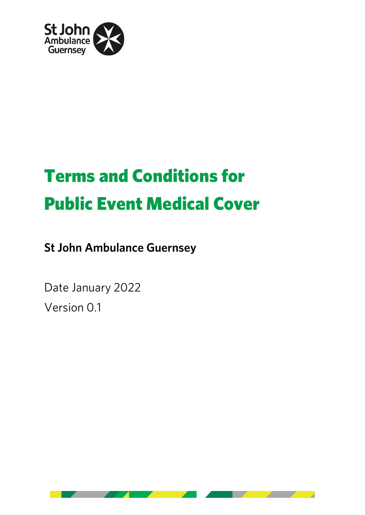

# **Terms and Conditions for Public Event Medical Cover** Public Event Medical Cover

# **St John Ambulance Guernsey**

Date January 2022<br>Version 0.1 Version 0.1

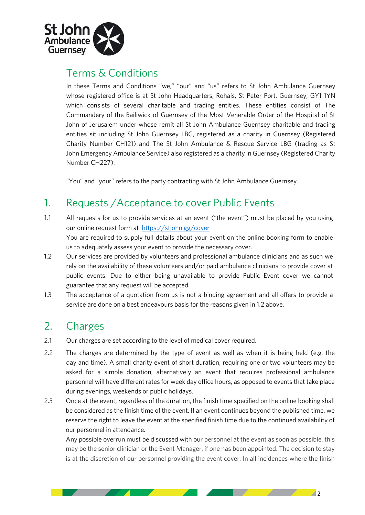

## Terms & Conditions

In these Terms and Conditions "we," "our" and "us" refers to St John Ambulance Guernsey whose registered office is at St John Headquarters, Rohais, St Peter Port, Guernsey, GY1 1YN which consists of several charitable and trading entities. These entities consist of The Commandery of the Bailiwick of Guernsey of the Most Venerable Order of the Hospital of St John of Jerusalem under whose remit all St John Ambulance Guernsey charitable and trading entities sit including St John Guernsey LBG, registered as a charity in Guernsey (Registered Charity Number CH121) and The St John Ambulance & Rescue Service LBG (trading as St Charity Number (Charitan Charitage Service) and The St John American Charitage (Decisional Charitage John Emergency Ambulance Service) also registered as a charity in Guernsey (Registered Charity Number CH227).

"You" and "your" refers to the party contracting with St John Ambulance Guernsey.

# 1. Requests / Acceptance to cover Public Events<br>1.1 All requests for us to provide services at an event ("the event") must be placed by you using  $1<sub>1</sub>$

- our online request form at https://stjohn.gg/cover You are required to supply full details about your event on the online booking form to enable us to adequately assess your event to provide the necessary cover.
- $1.2<sup>1</sup>$ Our services are provided by volunteers and professional ambulance clinicians and as such we rely on the availability of these volunteers and/or paid ambulance clinicians to provide cover at public events. Due to either being unavailable to provide Public Event cover we cannot guarantee that any request will be accepted.
- $1.3$ The acceptance of a quotation from us is not a binding agreement and all offers to provide a service are done on a best endeavours basis for the reasons given in 1.2 above. service are done on a best endeavours basis for the reasons given in 1.2 above.

## $2<sub>1</sub>$

- $21$  Christian group 2.1 Our charges are set according to the level of medical cover required.
- 2.2 The charges are determined by the type of event as well as when it is being held (e.g. the day and time). A small charity event of short duration, requiring one or two volunteers may be asked for a simple donation, alternatively an event that requires professional ambulance personnel will have different rates for week day office hours, as opposed to events that take place during evenings, weekends or public holidays.
- $2.3$ Once at the event, regardless of the duration, the finish time specified on the online booking shall be considered as the finish time of the event. If an event continues beyond the published time, we reserve the right to leave the event at the specified finish time due to the continued availability of our personnel in attendance.

Any possible overrun must be discussed with our personnel at the event as soon as possible, this may be the senior clinician or the Event Manager, if one has been appointed. The decision to stay is at the discretion of our personnel providing the event cover. In all incidences where the finish is at the discretion of our personnel providing the event cover. In all incidences where the finish

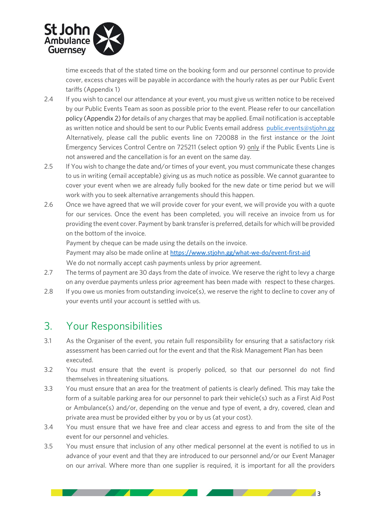

time exceeds that of the stated time on the booking form and our personnel continue to provide<br>cover, excess charges will be payable in accordance with the hourly rates as per our Public Event cover, excess charges with the hourly rates as per our Public Events as per our Public Events as per our Public Events as per our Public Events as per our Public Events as per our Public Events as per our Public Events as tariffs (Appendix 1)<br>If you wish to cancel our attendance at your event, you must give us written notice to be received

- $2.4$ by our Public Events Team as soon as possible prior to the event. Please refer to our cancellation policy (Appendix 2) for details of any charges that may be applied. Email notification is acceptable as written notice and should be sent to our Public Events email address public. events@stjohn.gg Alternatively, please call the public events line on 720088 in the first instance or the Joint Emergency Services Control Centre on 725211 (select option 9) only if the Public Events Line is not answered and the cancellation is for an event on the same day.
- If You wish to change the date and/or times of your event, you must communicate these changes 2.5 If You wish to change the date and/or times of your event, you must communicate these changes<br>to us in writing (email acceptable) giving us as much notice as possible. We cannot guarantee to cover your event when we are already fully booked for the new date or time period but we will work with you to seek alternative arrangements should this happen.
- $2.6$ Once we have agreed that we will provide cover for your event, we will provide you with a quote for our services. Once the event has been completed, you will receive an invoice from us for providing the event cover. Payment by bank transfer is preferred, details for which will be provided on the bottom of the invoice.

Payment by cheque can be made using the details on the invoice.

Payment may also be made online at <https://www.stjohn.gg/what-we-do/event-first-aid>

- We do not normally accept cash payments unless by prior agreement.<br>The terms of payment are 30 days from the date of invoice. We reserve the right to levy a charge  $2.7$ on any overdue payments unless prior agreement has been made with respect to these charges.
- If you owe us monies from outstanding invoice(s), we reserve the right to decline to cover any of 2.8 If you owe us monies from outstanding invoice(s), we reserve the right to decline to cover any of  $y \mapsto \cdots$  and  $y \mapsto \cdots$  account is settled with us.

## $\mathcal{B}_{\mathcal{L}}$

- 3. Your Responsibilities<br>3.1 As the Organiser of the event, you retain full responsibility for ensuring that a satisfactory risk  $\frac{1}{3}$ .1 As the Organiser of the event, you retain full responsibility for ensuring that a satisfactory risk  $\frac{1}{3}$ assessment has been carried out for the event and that the Risk Management Plan has been executed.<br>You must ensure that the event is properly policed, so that our personnel do not find
- 3.2 You must ensure that the event is the properties in threatening situations.
- You must ensure that an area for the treatment of patients is clearly defined. This may take the 3.3 You must ensure that an area for the treatment of patients is clearly defined. This may take the form of a suitable parking area for our personnel to park their vehicle(s) such as a First Aid Post or Ambulance(s) and/or, depending on the venue and type of event, a dry, covered, clean and private area must be provided either by you or by us (at your cost).
- $3.4$ You must ensure that we have free and clear access and egress to and from the site of the event for our personnel and vehicles.
- $35$ You must ensure that inclusion of any other medical personnel at the event is notified to us in advance of your event and that they are introduced to our personnel and/or our Event Manager advance of your event and that they are introduced to our personnel and/or our Event Manager on our arrival. Where more than one supplier is required, it is important for all the providers

1983 - Andrew March 1983 - Andrew March 1983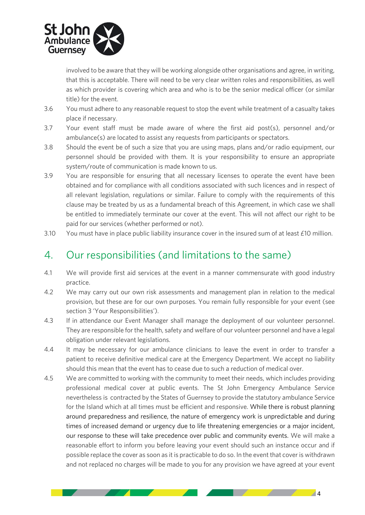

involved to be aware that they will be working alongside other organisations and agree, in writing,<br>that this is acceptable. There will need to be very clear written roles and responsibilities, as well that the this is acceptable. There will need to be very clear will need to be very clear will need to be very c<br>In additional will need to be very clear will need to be very clear will need to be very clear will need to be as which provides which are a and which are a senior medical of the senior medical of  $\mathcal{C}$  or similar medical or similar medical or similar medical or similar medical or similar medical or similar medical or similar m

- title) for the event.  $3.6$ 3.6 You must adhere to any reasonable request to stop the event while treatment of a casualty takes
- Your event staff must be made aware of where the first aid post(s), personnel and/or 3.7 Your event staff must be made aware of where the first aid post(s), person ambulance(s) are located to assist any requests from participants or spectators.
- Should the event be of such a size that you are using maps, plans and/or radio equipment, our 3.8 Should the event be of such a size that you are using maps, plans and/or radio equipment, our system/route of communication is made known to us.
- You are responsible for ensuring that all necessary licenses to operate the event have been 3.9 You are responsible for ensuring that all necessary licenses to operate the event have been<br>obtained and for compliance with all conditions associated with such licences and in respect of all relevant legislation, regulations or similar. Failure to comply with the requirements of this clause may be treated by us as a fundamental breach of this Agreement, in which case we shall be entitled to immediately terminate our cover at the event. This will not affect our right to be paid for our services (whether performed or not).
- paid for our services (whether performed or not). 3.10 You must have in place public liability insurance cover in the insured sum of at least £10 million.

# 4. Our responsibilities (and limitations to the same)<br>4.1 We will provide first aid services at the event in a manner commensurate with  $\mathcal{A}_{\mathcal{L}}$

- We will provide first aid services at the event in a manner commensurate with good industry practice.
- $4.2$ We may carry out our own risk assessments and management plan in relation to the medical provision, but these are for our own purposes. You remain fully responsible for your event (see section 3 'Your Responsibilities').
- $4.3$ If in attendance our Event Manager shall manage the deployment of our volunteer personnel. They are responsible for the health, safety and welfare of our volunteer personnel and have a legal obligation under relevant legislations.
- $4.4$ It may be necessary for our ambulance clinicians to leave the event in order to transfer a patient to receive definitive medical care at the Emergency Department. We accept no liability should this mean that the event has to cease due to such a reduction of medical over.
- We are committed to working with the community to meet their needs, which includes providing 4.5 We are committed to working with the community to meet their needs, which includes providing<br>professional medical cover at public events. The St John Emergency Ambulance Service nevertheless is contracted by the States of Guernsey to provide the statutory ambulance Service for the Island which at all times must be efficient and responsive. While there is robust planning around preparedness and resilience, the nature of emergency work is unpredictable and during times of increased demand or urgency due to life threatening emergencies or a major incident, our response to these will take precedence over public and community events. We will make a reasonable effort to inform you before leaving your event should such an instance occur and if possible replace the cover as soon as it is practicable to do so. In the event that cover is withdrawn possible replace the cover as soon as it is practicable to do so. In the event that cover is withdrawn procedure to the internal that cover and the event that cover is with a society of the event that cover is with a socie and not replaced not replaced no charges will be made to you for any provision we have a you for any provision

4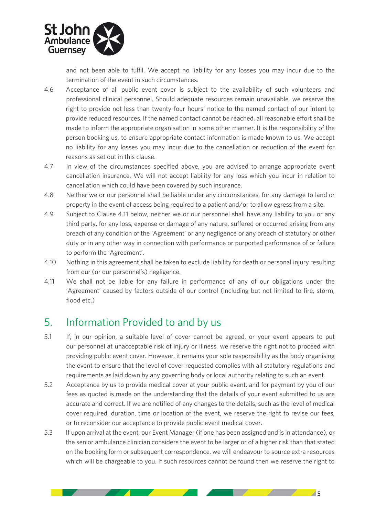

and not been able to fulfil. We accept no liability for any losses you may incur due to the termination of the event in such circumstances.

- $4.6$ Acceptance of all public event cover is subject to the availability of such volunteers and professional clinical personnel. Should adequate resources remain unavailable, we reserve the right to provide not less than twenty-four hours' notice to the named contact of our intent to provide reduced resources. If the named contact cannot be reached, all reasonable effort shall be made to inform the appropriate organisation in some other manner. It is the responsibility of the person booking us, to ensure appropriate contact information is made known to us. We accept no liability for any losses you may incur due to the cancellation or reduction of the event for reasons as set out in this clause.
- In view of the circumstances specified above, you are advised to arrange appropriate event 4.7 In view of the circumstances specified above, you are advised to arrange appropriate event cancellation insurance. We will not accept liability for any loss which you incur in relation to cancellation which could have been covered by such insurance.
- 4.8 Neither we or our personnel shall be liable under any circumstances, for any damage to land or property in the event of access being required to a patient and/or to allow egress from a site.
- 4.9 Subject to Clause 4.11 below, neither we or our personnel shall have any liability to you or any third party, for any loss, expense or damage of any nature, suffered or occurred arising from any breach of any condition of the 'Agreement' or any negligence or any breach of statutory or other breach of any condition of the 'Agreement' or any negligence or any breach of statutory or other duty or in any other way in connection with performance or purported performance of or failure to perform the 'Agreement'.<br>Nothing in this agreement shall be taken to exclude liability for death or personal injury resulting
- 4.10 Nothing in this agreement shall be taken to the mour (or our personnel's) negligence.
- 4.11 We shall not be liable for any failure in performance of any of our obligations under the 4.11 We shall not be liable for any failure in performance of any of our obligations under the  $\mathbf{f}_{\text{rad},\text{obs}}$ flood etc.)

- 5. Information Provided to and by us<br>5.1 If, in our opinion, a suitable level of cover cannot be agreed, or your event appears to put our personnel at unacceptable risk of injury or illness, we reserve the right not to proceed with providing public event cover. However, it remains your sole responsibility as the body organising the event to ensure that the level of cover requested complies with all statutory regulations and requirements as laid down by any governing body or local authority relating to such an event.
- Acceptance by us to provide medical cover at your public event, and for payment by you of our 5.2 Acceptance by us to provide medical cover at your public event, and for payment by you of our<br>fees as quoted is made on the understanding that the details of your event submitted to us are accurate and correct. If we are notified of any changes to the details, such as the level of medical cover required, duration, time or location of the event, we reserve the right to revise our fees, or to reconsider our acceptance to provide public event medical cover.
- 5.3 If upon arrival at the event, our Event Manager (if one has been assigned and is in attendance), or the senior ambulance clinician considers the event to be larger or of a higher risk than that stated on the booking form or subsequent correspondence, we will endeavour to source extra resources on the booking form or subsequent correspondence, we will end and the booking resources to source extra resourc which will be chargeable to you. If such resources cannot be found then we reserve the right to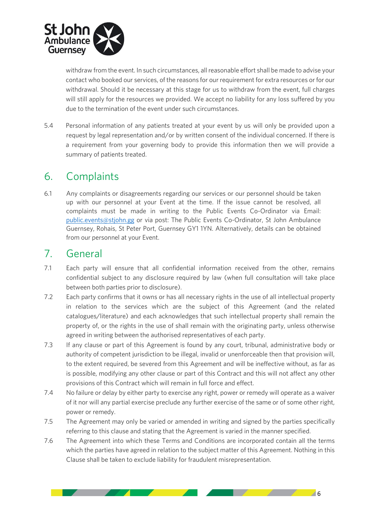

withdraw from the event. In such circumstances, all reasonable effort shall be made to advise your<br>contact who booked our services, of the reasons for our requirement for extra resources or for our withdrawal. Should it be necessary at this stage for us to withdraw from the event, full charges will still apply for the resources we provided. We accept no liability for any loss suffered by you due to the termination of the event under such circumstances. due to the termination of the event under such circumstances.

54 Personal information of any patients treated at your event by us will only be provided upon a<br>request by legal representation and/or by written consent of the individual concerned. If there is request by legal representation and/or by written consent of the individual concerned. If there is a requirement from your governing body to provide this information this information then we will provide a second summary of patients treated.

## $6<sub>1</sub>$ 6. Complaints

Any complaints or disagreements regarding our services or our personnel should be taken up with our personnel at your Event at the time. If the issue cannot be resolved, all complaints must be made in writing to the Public Events Co-Ordinator via Email: public.events@stjohn.gg or via post: The Public Events Co-Ordinator, St John Ambulance Guernsey, Rohais, St Peter Port, Guernsey GY11YN. Alternatively, details can be obtained Guernsey, Rohais, St Peter Port, Guernsey GY1 1YN. Alternatively, details can be obtained from our personnel at your Event.

## $\overline{7}$ General

- 7.1 Each party will ensure that all confidential information received from the other, remains confidential subject to any disclosure required by law (when full consultation will take place between both parties prior to disclosure).
- $7.2$ Each party confirms that it owns or has all necessary rights in the use of all intellectual property in relation to the services which are the subject of this Agreement (and the related catalogues/literature) and each acknowledges that such intellectual property shall remain the property of, or the rights in the use of shall remain with the originating party, unless otherwise agreed in writing between the authorised representatives of each party.
- If any clause or part of this Agreement is found by any court, tribunal, administrative body or 7.3 If any clause or part of this Agreement is found by any court, tribunal, administrative body or authority of competent jurisdiction to be illegal, invalid or unenforceable then that provision will, to the extent required, be severed from this Agreement and will be ineffective without, as far as is possible, modifying any other clause or part of this Contract and this will not affect any other provisions of this Contract which will remain in full force and effect.
- $7.4$ No failure or delay by either party to exercise any right, power or remedy will operate as a waiver 7.4 No failure or delay by either party to exercise any right, power or remedy will operate as a waiver of it nor will any partial exercise preclude any further exercise of the same or of some other right, power or remedy.<br>The Agreement may only be varied or amended in writing and signed by the parties specifically
- $7.5$ referring to this clause and stating that the Agreement is varied in the manner specified.
- The Agreement into which these Terms and Conditions are incorporated contain all the terms 7.6 The Agreement into which these Terms and Conditions are incorporated contain all the terms which the parties have agreed in relation to the subject matter of this Agreement. Nothing in this Clause shall be taken to exclude liability for fraudulent misrepresentation. Clause shall be taken to exclude liability for fraudulent misrepresentation.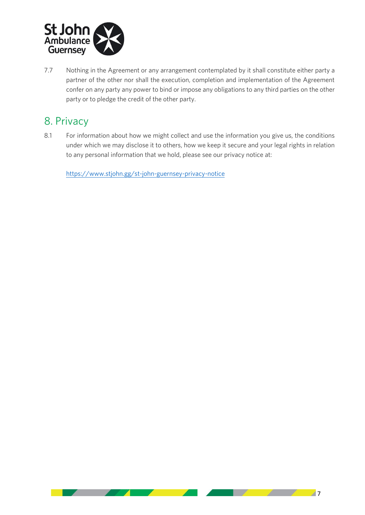

7.7 Nothing in the Agreement or any arrangement contemplated by it shall constitute either party a<br>partner of the other nor shall the execution, completion and implementation of the Agreement confer on any party any power to bind or impose any obligations to any third parties on the other conference on any party any party any obligations to bind or impose any third party of the other party of the o<br>In power to any third party of the other party of the other party. party or to pledge the credit of the other party.

8. Privacy<br>8.1 For information about how we might collect and use the information you give us, the conditions under which we may disclose it to others, how we keep it secure and your legal rights in relation  $\mathcal{L}_{\text{max}}$  which we keep it to other which  $\mathcal{L}_{\text{max}}$  rights in relation  $\mathcal{L}_{\text{max}}$  rights in relations in relations in relations in relations in relations in relations in relations in relations in relations in r to any personal information that we hold, please see our privacy notice at:

<https://www.stjohn.gg/st-john-guernsey-privacy-notice>

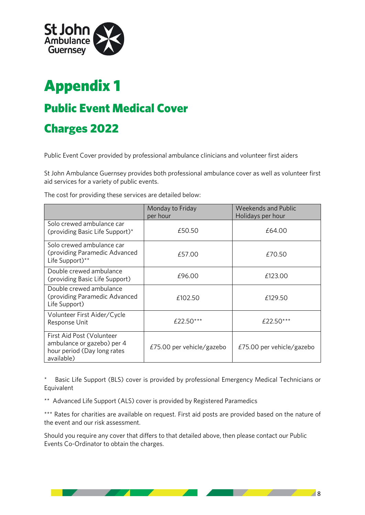

# **Appendix 1<br>Public Event Medical Cover** Public Event Medical Cover

# Charges 2022

Public Event Cover provided by professional ambulance clinicians and volunteer first aiders

St Form Ambulance Guernsey provides both professional ambulance cover as well as volunteer first. aid services for a variety of public events.

| The cost for providing these services are detailed below: |  |  |  |
|-----------------------------------------------------------|--|--|--|
|                                                           |  |  |  |

|                                                                                                      | Monday to Friday<br>per hour | <b>Weekends and Public</b><br>Holidays per hour |  |
|------------------------------------------------------------------------------------------------------|------------------------------|-------------------------------------------------|--|
| Solo crewed ambulance car<br>(providing Basic Life Support)*                                         | £50.50                       | £64.00                                          |  |
| Solo crewed ambulance car<br>(providing Paramedic Advanced<br>Life Support)**                        | £57.00                       | £70.50                                          |  |
| Double crewed ambulance<br>(providing Basic Life Support)                                            | £96.00                       | £123.00                                         |  |
| Double crewed ambulance<br>(providing Paramedic Advanced<br>Life Support)                            | £102.50                      | £129.50                                         |  |
| Volunteer First Aider/Cycle<br>Response Unit                                                         | $£22.50***$                  | $E22.50***$                                     |  |
| First Aid Post (Volunteer<br>ambulance or gazebo) per 4<br>hour period (Day long rates<br>available) | £75.00 per vehicle/gazebo    | £75.00 per vehicle/gazebo                       |  |

 $\star$ Basic Life Support (BLS) cover is provided by professional Emergency Medical Technicians or Equivalent

\*\* Advanced Life Support (ALS) cover is provided by Registered Paramedics<br>\*\*\* Rates for charities are available on request. First aid posts are provided based on the nature of the event and our risk assessment. the event and our risk assessment.

 $S$  and  $S$  of  $\frac{1}{2}$  and  $\frac{1}{2}$  above, then please contact our Public our Public our Public our Public our Public our Public our Public our Public our Public our Public our Public our Public our Public our Public o Events Co-Ordinator to obtain the charges.